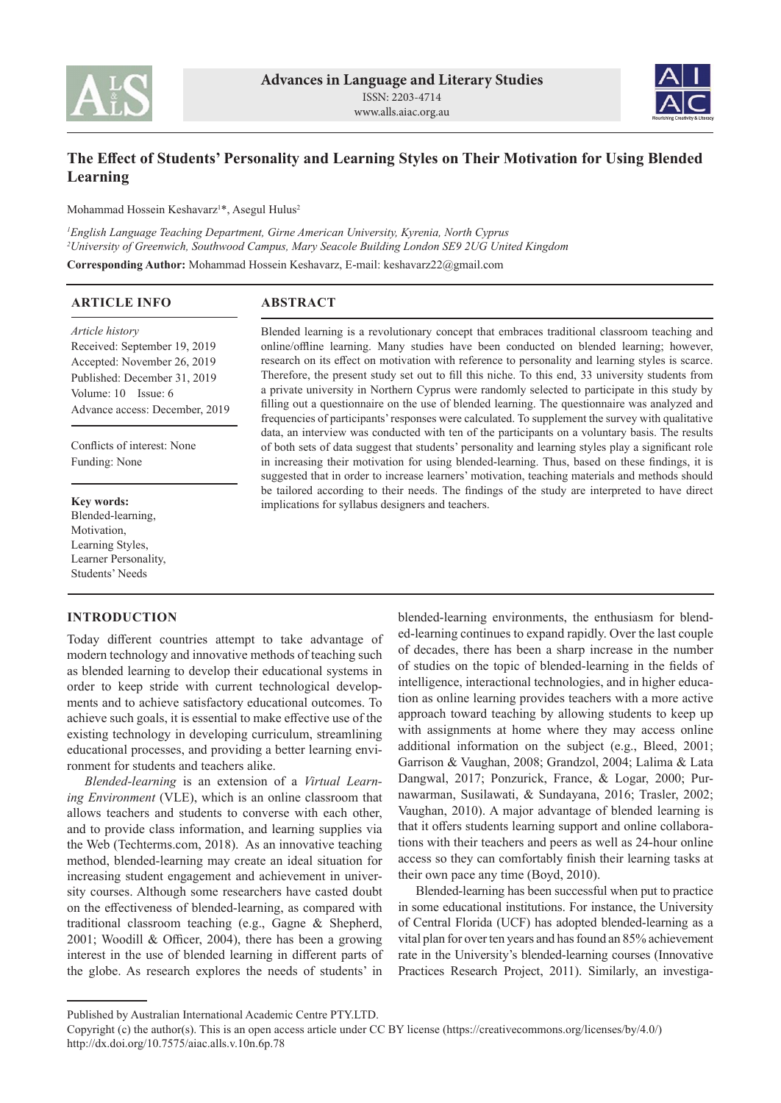



# **The Effect of Students' Personality and Learning Styles on Their Motivation for Using Blended Learning**

Mohammad Hossein Keshavarz1 \*, Asegul Hulus2

*1 English Language Teaching Department, Girne American University, Kyrenia, North Cyprus 2 University of Greenwich, Southwood Campus, Mary Seacole Building London SE9 2UG United Kingdom*

**Corresponding Author:** Mohammad Hossein Keshavarz, E-mail: keshavarz22@gmail.com

#### **ABSTRACT ARTICLE INFO**

#### *Article history*

Received: September 19, 2019 Accepted: November 26, 2019 Published: December 31, 2019 Volume: 10 Issue: 6 Advance access: December, 2019

Conflicts of interest: None Funding: None

#### **Key words:**

Blended-learning, Motivation, Learning Styles, Learner Personality, Students' Needs

## **INTRODUCTION**

Today different countries attempt to take advantage of modern technology and innovative methods of teaching such as blended learning to develop their educational systems in order to keep stride with current technological developments and to achieve satisfactory educational outcomes. To achieve such goals, it is essential to make effective use of the existing technology in developing curriculum, streamlining educational processes, and providing a better learning environment for students and teachers alike.

*Blended-learning* is an extension of a *Virtual Learning Environment* (VLE), which is an online classroom that allows teachers and students to converse with each other, and to provide class information, and learning supplies via the Web (Techterms.com, 2018). As an innovative teaching method, blended-learning may create an ideal situation for increasing student engagement and achievement in university courses. Although some researchers have casted doubt on the effectiveness of blended-learning, as compared with traditional classroom teaching (e.g., Gagne & Shepherd, 2001; Woodill & Officer, 2004), there has been a growing interest in the use of blended learning in different parts of the globe. As research explores the needs of students' in

Blended learning is a revolutionary concept that embraces traditional classroom teaching and online/offline learning. Many studies have been conducted on blended learning; however, research on its effect on motivation with reference to personality and learning styles is scarce. Therefore, the present study set out to fill this niche. To this end, 33 university students from a private university in Northern Cyprus were randomly selected to participate in this study by filling out a questionnaire on the use of blended learning. The questionnaire was analyzed and frequencies of participants' responses were calculated. To supplement the survey with qualitative data, an interview was conducted with ten of the participants on a voluntary basis. The results of both sets of data suggest that students' personality and learning styles play a significant role in increasing their motivation for using blended-learning. Thus, based on these findings, it is suggested that in order to increase learners' motivation, teaching materials and methods should be tailored according to their needs. The findings of the study are interpreted to have direct implications for syllabus designers and teachers.

> blended-learning environments, the enthusiasm for blended-learning continues to expand rapidly. Over the last couple of decades, there has been a sharp increase in the number of studies on the topic of blended-learning in the fields of intelligence, interactional technologies, and in higher education as online learning provides teachers with a more active approach toward teaching by allowing students to keep up with assignments at home where they may access online additional information on the subject (e.g., Bleed, 2001; Garrison & Vaughan, 2008; Grandzol, 2004; Lalima & Lata Dangwal, 2017; Ponzurick, France, & Logar, 2000; Purnawarman, Susilawati, & Sundayana, 2016; Trasler, 2002; Vaughan, 2010). A major advantage of blended learning is that it offers students learning support and online collaborations with their teachers and peers as well as 24-hour online access so they can comfortably finish their learning tasks at their own pace any time (Boyd, 2010).

> Blended-learning has been successful when put to practice in some educational institutions. For instance, the University of Central Florida (UCF) has adopted blended-learning as a vital plan for over ten years and has found an 85% achievement rate in the University's blended-learning courses (Innovative Practices Research Project, 2011). Similarly, an investiga-

Published by Australian International Academic Centre PTY.LTD.

Copyright (c) the author(s). This is an open access article under CC BY license (https://creativecommons.org/licenses/by/4.0/) http://dx.doi.org/10.7575/aiac.alls.v.10n.6p.78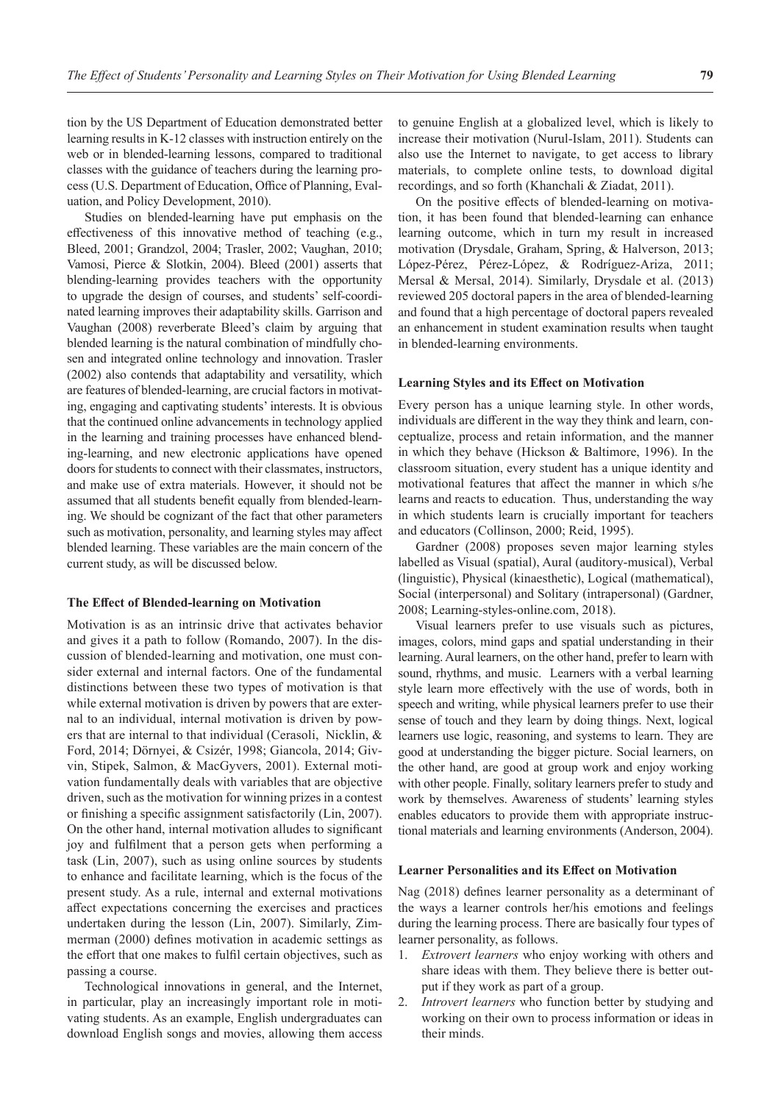tion by the US Department of Education demonstrated better learning results in K-12 classes with instruction entirely on the web or in blended-learning lessons, compared to traditional classes with the guidance of teachers during the learning process (U.S. Department of Education, Office of Planning, Evaluation, and Policy Development, 2010).

Studies on blended-learning have put emphasis on the effectiveness of this innovative method of teaching (e.g., Bleed, 2001; Grandzol, 2004; Trasler, 2002; Vaughan, 2010; Vamosi, Pierce & Slotkin, 2004). Bleed (2001) asserts that blending-learning provides teachers with the opportunity to upgrade the design of courses, and students' self-coordinated learning improves their adaptability skills. Garrison and Vaughan (2008) reverberate Bleed's claim by arguing that blended learning is the natural combination of mindfully chosen and integrated online technology and innovation. Trasler (2002) also contends that adaptability and versatility, which are features of blended-learning, are crucial factors in motivating, engaging and captivating students' interests. It is obvious that the continued online advancements in technology applied in the learning and training processes have enhanced blending-learning, and new electronic applications have opened doors for students to connect with their classmates, instructors, and make use of extra materials. However, it should not be assumed that all students benefit equally from blended-learning. We should be cognizant of the fact that other parameters such as motivation, personality, and learning styles may affect blended learning. These variables are the main concern of the current study, as will be discussed below.

## **The Effect of Blended-learning on Motivation**

Motivation is as an intrinsic drive that activates behavior and gives it a path to follow (Romando, 2007). In the discussion of blended-learning and motivation, one must consider external and internal factors. One of the fundamental distinctions between these two types of motivation is that while external motivation is driven by powers that are external to an individual, internal motivation is driven by powers that are internal to that individual (Cerasoli, Nicklin, & Ford, 2014; Dörnyei, & Csizér, 1998; Giancola, 2014; Givvin, Stipek, Salmon, & MacGyvers, 2001). External motivation fundamentally deals with variables that are objective driven, such as the motivation for winning prizes in a contest or finishing a specific assignment satisfactorily (Lin, 2007). On the other hand, internal motivation alludes to significant joy and fulfilment that a person gets when performing a task (Lin, 2007), such as using online sources by students to enhance and facilitate learning, which is the focus of the present study. As a rule, internal and external motivations affect expectations concerning the exercises and practices undertaken during the lesson (Lin, 2007). Similarly, Zimmerman (2000) defines motivation in academic settings as the effort that one makes to fulfil certain objectives, such as passing a course.

Technological innovations in general, and the Internet, in particular, play an increasingly important role in motivating students. As an example, English undergraduates can download English songs and movies, allowing them access to genuine English at a globalized level, which is likely to increase their motivation (Nurul-Islam, 2011). Students can also use the Internet to navigate, to get access to library materials, to complete online tests, to download digital recordings, and so forth (Khanchali & Ziadat, 2011).

On the positive effects of blended-learning on motivation, it has been found that blended-learning can enhance learning outcome, which in turn my result in increased motivation (Drysdale, Graham, Spring, & Halverson, 2013; López-Pérez, Pérez-López, & Rodríguez-Ariza, 2011; Mersal & Mersal, 2014). Similarly, Drysdale et al. (2013) reviewed 205 doctoral papers in the area of blended-learning and found that a high percentage of doctoral papers revealed an enhancement in student examination results when taught in blended-learning environments.

#### **Learning Styles and its Effect on Motivation**

Every person has a unique learning style. In other words, individuals are different in the way they think and learn, conceptualize, process and retain information, and the manner in which they behave (Hickson & Baltimore, 1996). In the classroom situation, every student has a unique identity and motivational features that affect the manner in which s/he learns and reacts to education. Thus, understanding the way in which students learn is crucially important for teachers and educators (Collinson, 2000; Reid, 1995).

Gardner (2008) proposes seven major learning styles labelled as Visual (spatial), Aural (auditory-musical), Verbal (linguistic), Physical (kinaesthetic), Logical (mathematical), Social (interpersonal) and Solitary (intrapersonal) (Gardner, 2008; Learning-styles-online.com, 2018).

Visual learners prefer to use visuals such as pictures, images, colors, mind gaps and spatial understanding in their learning. Aural learners, on the other hand, prefer to learn with sound, rhythms, and music. Learners with a verbal learning style learn more effectively with the use of words, both in speech and writing, while physical learners prefer to use their sense of touch and they learn by doing things. Next, logical learners use logic, reasoning, and systems to learn. They are good at understanding the bigger picture. Social learners, on the other hand, are good at group work and enjoy working with other people. Finally, solitary learners prefer to study and work by themselves. Awareness of students' learning styles enables educators to provide them with appropriate instructional materials and learning environments (Anderson, 2004).

## **Learner Personalities and its Effect on Motivation**

Nag (2018) defines learner personality as a determinant of the ways a learner controls her/his emotions and feelings during the learning process. There are basically four types of learner personality, as follows.

- 1. *Extrovert learners* who enjoy working with others and share ideas with them. They believe there is better output if they work as part of a group.
- 2. *Introvert learners* who function better by studying and working on their own to process information or ideas in their minds.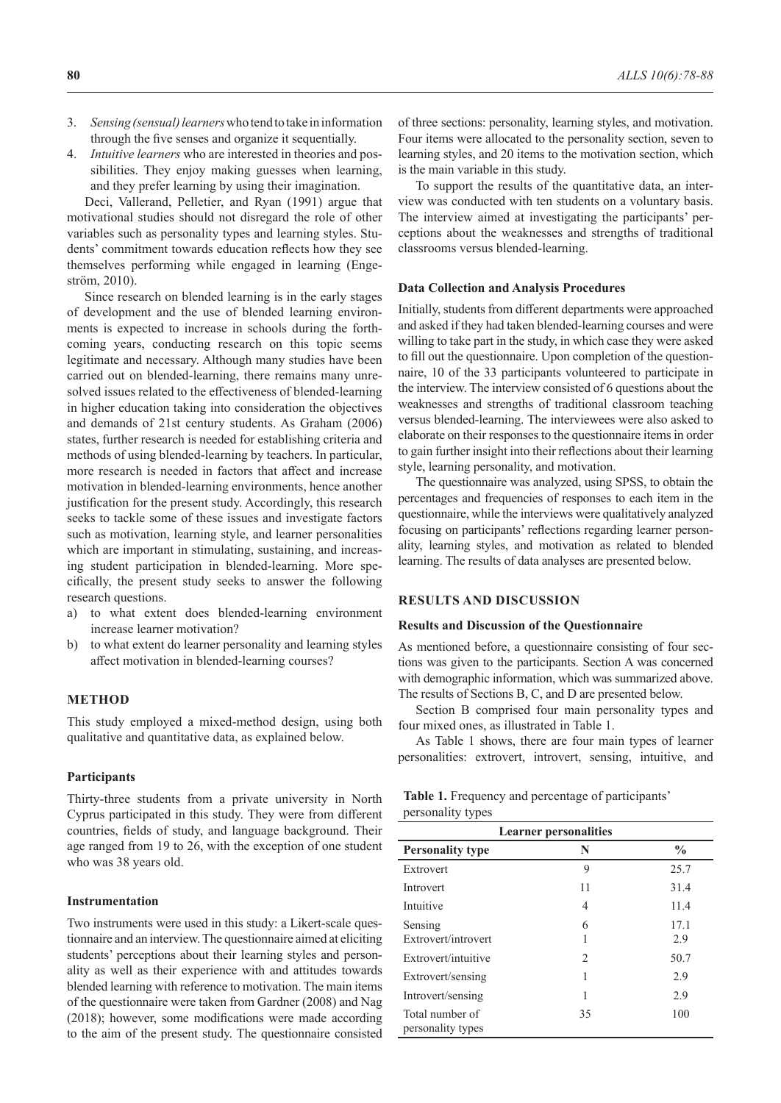- 3. *Sensing (sensual) learners* who tend to take in information through the five senses and organize it sequentially.
- 4. *Intuitive learners* who are interested in theories and possibilities. They enjoy making guesses when learning, and they prefer learning by using their imagination.

Deci, Vallerand, Pelletier, and Ryan (1991) argue that motivational studies should not disregard the role of other variables such as personality types and learning styles. Students' commitment towards education reflects how they see themselves performing while engaged in learning (Engestrӧm, 2010).

Since research on blended learning is in the early stages of development and the use of blended learning environments is expected to increase in schools during the forthcoming years, conducting research on this topic seems legitimate and necessary. Although many studies have been carried out on blended-learning, there remains many unresolved issues related to the effectiveness of blended-learning in higher education taking into consideration the objectives and demands of 21st century students. As Graham (2006) states, further research is needed for establishing criteria and methods of using blended-learning by teachers. In particular, more research is needed in factors that affect and increase motivation in blended-learning environments, hence another justification for the present study. Accordingly, this research seeks to tackle some of these issues and investigate factors such as motivation, learning style, and learner personalities which are important in stimulating, sustaining, and increasing student participation in blended-learning. More specifically, the present study seeks to answer the following research questions.

- a) to what extent does blended-learning environment increase learner motivation?
- b) to what extent do learner personality and learning styles affect motivation in blended-learning courses?

## **METHOD**

This study employed a mixed-method design, using both qualitative and quantitative data, as explained below.

## **Participants**

Thirty-three students from a private university in North Cyprus participated in this study. They were from different countries, fields of study, and language background. Their age ranged from 19 to 26, with the exception of one student who was 38 years old.

## **Instrumentation**

Two instruments were used in this study: a Likert-scale questionnaire and an interview. The questionnaire aimed at eliciting students' perceptions about their learning styles and personality as well as their experience with and attitudes towards blended learning with reference to motivation. The main items of the questionnaire were taken from Gardner (2008) and Nag (2018); however, some modifications were made according to the aim of the present study. The questionnaire consisted

of three sections: personality, learning styles, and motivation. Four items were allocated to the personality section, seven to learning styles, and 20 items to the motivation section, which is the main variable in this study.

To support the results of the quantitative data, an interview was conducted with ten students on a voluntary basis. The interview aimed at investigating the participants' perceptions about the weaknesses and strengths of traditional classrooms versus blended-learning.

## **Data Collection and Analysis Procedures**

Initially, students from different departments were approached and asked if they had taken blended-learning courses and were willing to take part in the study, in which case they were asked to fill out the questionnaire. Upon completion of the questionnaire, 10 of the 33 participants volunteered to participate in the interview. The interview consisted of 6 questions about the weaknesses and strengths of traditional classroom teaching versus blended-learning. The interviewees were also asked to elaborate on their responses to the questionnaire items in order to gain further insight into their reflections about their learning style, learning personality, and motivation.

The questionnaire was analyzed, using SPSS, to obtain the percentages and frequencies of responses to each item in the questionnaire, while the interviews were qualitatively analyzed focusing on participants' reflections regarding learner personality, learning styles, and motivation as related to blended learning. The results of data analyses are presented below.

## **RESULTS AND DISCUSSION**

#### **Results and Discussion of the Questionnaire**

As mentioned before, a questionnaire consisting of four sections was given to the participants. Section A was concerned with demographic information, which was summarized above. The results of Sections B, C, and D are presented below.

Section B comprised four main personality types and four mixed ones, as illustrated in Table 1.

As Table 1 shows, there are four main types of learner personalities: extrovert, introvert, sensing, intuitive, and

|                   | Table 1. Frequency and percentage of participants' |
|-------------------|----------------------------------------------------|
| personality types |                                                    |

| <b>Learner personalities</b>         |    |               |  |  |
|--------------------------------------|----|---------------|--|--|
| <b>Personality type</b>              | N  | $\frac{6}{9}$ |  |  |
| Extrovert                            | 9  | 25.7          |  |  |
| Introvert                            | 11 | 31.4          |  |  |
| Intuitive                            | 4  | 11.4          |  |  |
| Sensing                              | 6  | 17.1          |  |  |
| Extrovert/introvert                  |    | 2.9           |  |  |
| Extrovert/intuitive                  | 2  | 50.7          |  |  |
| Extrovert/sensing                    |    | 2.9           |  |  |
| Introvert/sensing                    | 1  | 2.9           |  |  |
| Total number of<br>personality types | 35 | 100           |  |  |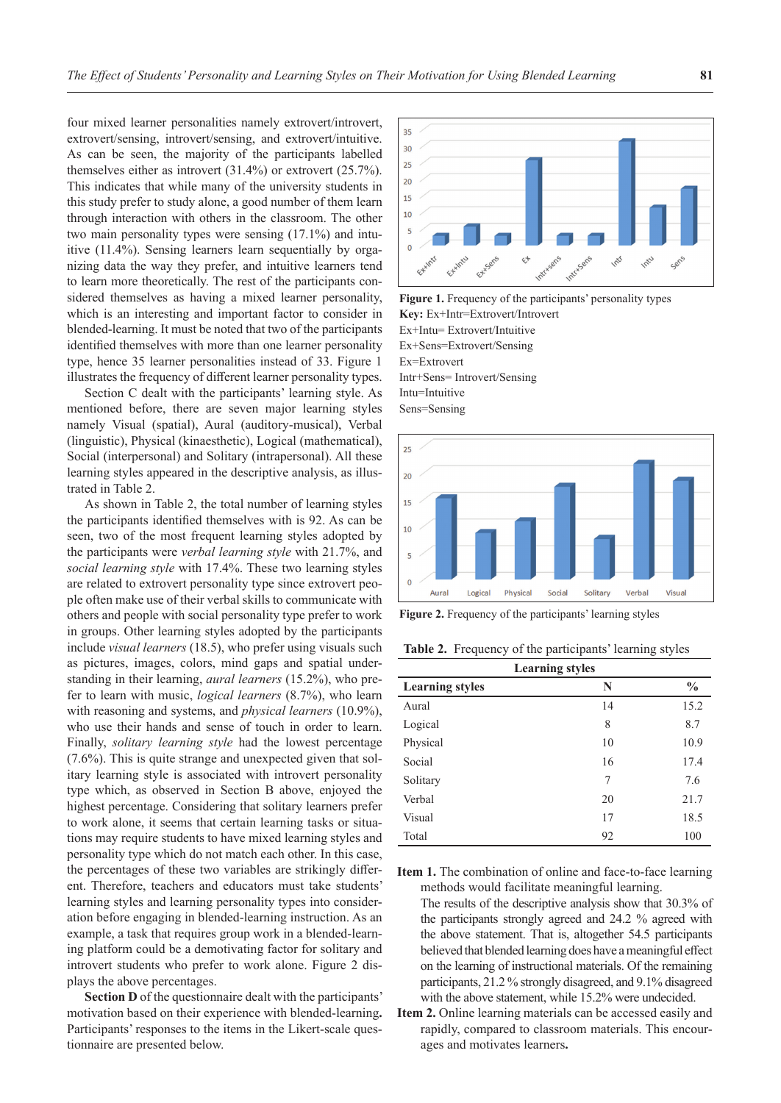four mixed learner personalities namely extrovert/introvert, extrovert/sensing, introvert/sensing, and extrovert/intuitive. As can be seen, the majority of the participants labelled themselves either as introvert (31.4%) or extrovert (25.7%). This indicates that while many of the university students in this study prefer to study alone, a good number of them learn through interaction with others in the classroom. The other two main personality types were sensing (17.1%) and intuitive (11.4%). Sensing learners learn sequentially by organizing data the way they prefer, and intuitive learners tend to learn more theoretically. The rest of the participants considered themselves as having a mixed learner personality, which is an interesting and important factor to consider in blended-learning. It must be noted that two of the participants identified themselves with more than one learner personality type, hence 35 learner personalities instead of 33. Figure 1 illustrates the frequency of different learner personality types.

Section C dealt with the participants' learning style. As mentioned before, there are seven major learning styles namely Visual (spatial), Aural (auditory-musical), Verbal (linguistic), Physical (kinaesthetic), Logical (mathematical), Social (interpersonal) and Solitary (intrapersonal). All these learning styles appeared in the descriptive analysis, as illustrated in Table 2.

As shown in Table 2, the total number of learning styles the participants identified themselves with is 92. As can be seen, two of the most frequent learning styles adopted by the participants were *verbal learning style* with 21.7%, and *social learning style* with 17.4%. These two learning styles are related to extrovert personality type since extrovert people often make use of their verbal skills to communicate with others and people with social personality type prefer to work in groups. Other learning styles adopted by the participants include *visual learners* (18.5), who prefer using visuals such as pictures, images, colors, mind gaps and spatial understanding in their learning, *aural learners* (15.2%), who prefer to learn with music, *logical learners* (8.7%), who learn with reasoning and systems, and *physical learners* (10.9%), who use their hands and sense of touch in order to learn. Finally, *solitary learning style* had the lowest percentage (7.6%). This is quite strange and unexpected given that solitary learning style is associated with introvert personality type which, as observed in Section B above, enjoyed the highest percentage. Considering that solitary learners prefer to work alone, it seems that certain learning tasks or situations may require students to have mixed learning styles and personality type which do not match each other. In this case, the percentages of these two variables are strikingly different. Therefore, teachers and educators must take students' learning styles and learning personality types into consideration before engaging in blended-learning instruction. As an example, a task that requires group work in a blended-learning platform could be a demotivating factor for solitary and introvert students who prefer to work alone. Figure 2 displays the above percentages.

**Section D** of the questionnaire dealt with the participants' motivation based on their experience with blended-learning**.**  Participants' responses to the items in the Likert-scale questionnaire are presented below.



Figure 1. Frequency of the participants' personality types **Key:** Ex+Intr=Extrovert/Introvert Ex+Intu= Extrovert/Intuitive Ex+Sens=Extrovert/Sensing Ex=Extrovert Intr+Sens= Introvert/Sensing Intu=Intuitive Sens=Sensing



**Figure 2.** Frequency of the participants' learning styles

**Table 2.** Frequency of the participants' learning styles

| <b>Learning styles</b> |    |               |  |
|------------------------|----|---------------|--|
| <b>Learning styles</b> | N  | $\frac{0}{0}$ |  |
| Aural                  | 14 | 15.2          |  |
| Logical                | 8  | 8.7           |  |
| Physical               | 10 | 10.9          |  |
| Social                 | 16 | 17.4          |  |
| Solitary               | 7  | 7.6           |  |
| Verbal                 | 20 | 21.7          |  |
| Visual                 | 17 | 18.5          |  |
| Total                  | 92 | 100           |  |

**Item 1.** The combination of online and face-to-face learning methods would facilitate meaningful learning.

The results of the descriptive analysis show that 30.3% of the participants strongly agreed and 24.2 % agreed with the above statement. That is, altogether 54.5 participants believed that blended learning does have a meaningful effect on the learning of instructional materials. Of the remaining participants, 21.2 % strongly disagreed, and 9.1% disagreed with the above statement, while 15.2% were undecided.

**Item 2.** Online learning materials can be accessed easily and rapidly, compared to classroom materials. This encourages and motivates learners**.**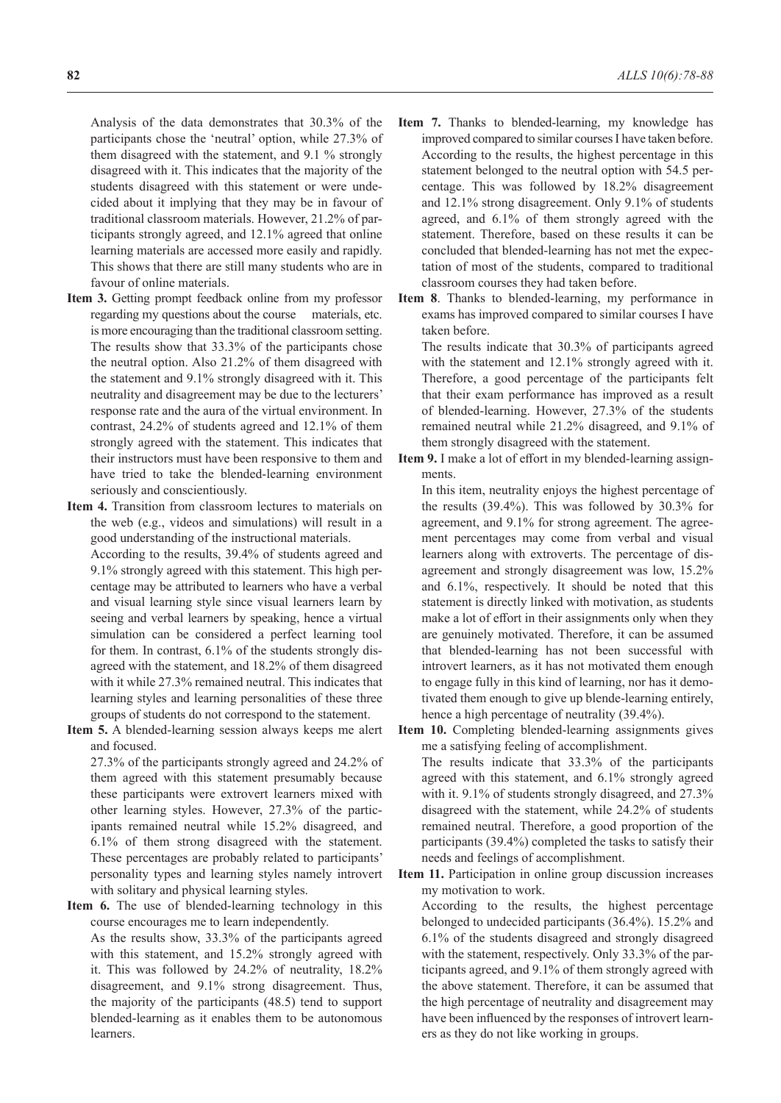Analysis of the data demonstrates that 30.3% of the participants chose the 'neutral' option, while 27.3% of them disagreed with the statement, and 9.1 % strongly disagreed with it. This indicates that the majority of the students disagreed with this statement or were undecided about it implying that they may be in favour of traditional classroom materials. However, 21.2% of participants strongly agreed, and 12.1% agreed that online learning materials are accessed more easily and rapidly. This shows that there are still many students who are in favour of online materials.

- **Item 3.** Getting prompt feedback online from my professor regarding my questions about the course materials, etc. is more encouraging than the traditional classroom setting. The results show that 33.3% of the participants chose the neutral option. Also 21.2% of them disagreed with the statement and 9.1% strongly disagreed with it. This neutrality and disagreement may be due to the lecturers' response rate and the aura of the virtual environment. In contrast, 24.2% of students agreed and 12.1% of them strongly agreed with the statement. This indicates that their instructors must have been responsive to them and have tried to take the blended-learning environment seriously and conscientiously.
- **Item 4.** Transition from classroom lectures to materials on the web (e.g., videos and simulations) will result in a good understanding of the instructional materials.

According to the results, 39.4% of students agreed and 9.1% strongly agreed with this statement. This high percentage may be attributed to learners who have a verbal and visual learning style since visual learners learn by seeing and verbal learners by speaking, hence a virtual simulation can be considered a perfect learning tool for them. In contrast, 6.1% of the students strongly disagreed with the statement, and 18.2% of them disagreed with it while 27.3% remained neutral. This indicates that learning styles and learning personalities of these three groups of students do not correspond to the statement.

**Item 5.** A blended-learning session always keeps me alert and focused.

27.3% of the participants strongly agreed and 24.2% of them agreed with this statement presumably because these participants were extrovert learners mixed with other learning styles. However, 27.3% of the participants remained neutral while 15.2% disagreed, and 6.1% of them strong disagreed with the statement. These percentages are probably related to participants' personality types and learning styles namely introvert with solitary and physical learning styles.

**Item 6.** The use of blended-learning technology in this course encourages me to learn independently.

As the results show, 33.3% of the participants agreed with this statement, and 15.2% strongly agreed with it. This was followed by 24.2% of neutrality, 18.2% disagreement, and 9.1% strong disagreement. Thus, the majority of the participants (48.5) tend to support blended-learning as it enables them to be autonomous learners.

- **Item 7.** Thanks to blended-learning, my knowledge has improved compared to similar courses I have taken before. According to the results, the highest percentage in this statement belonged to the neutral option with 54.5 percentage. This was followed by 18.2% disagreement and 12.1% strong disagreement. Only 9.1% of students agreed, and 6.1% of them strongly agreed with the statement. Therefore, based on these results it can be concluded that blended-learning has not met the expectation of most of the students, compared to traditional classroom courses they had taken before.
- **Item 8**. Thanks to blended-learning, my performance in exams has improved compared to similar courses I have taken before.

The results indicate that 30.3% of participants agreed with the statement and 12.1% strongly agreed with it. Therefore, a good percentage of the participants felt that their exam performance has improved as a result of blended-learning. However, 27.3% of the students remained neutral while 21.2% disagreed, and 9.1% of them strongly disagreed with the statement.

**Item 9.** I make a lot of effort in my blended-learning assignments.

In this item, neutrality enjoys the highest percentage of the results (39.4%). This was followed by 30.3% for agreement, and 9.1% for strong agreement. The agreement percentages may come from verbal and visual learners along with extroverts. The percentage of disagreement and strongly disagreement was low, 15.2% and 6.1%, respectively. It should be noted that this statement is directly linked with motivation, as students make a lot of effort in their assignments only when they are genuinely motivated. Therefore, it can be assumed that blended-learning has not been successful with introvert learners, as it has not motivated them enough to engage fully in this kind of learning, nor has it demotivated them enough to give up blende-learning entirely, hence a high percentage of neutrality (39.4%).

**Item 10.** Completing blended-learning assignments gives me a satisfying feeling of accomplishment.

The results indicate that 33.3% of the participants agreed with this statement, and 6.1% strongly agreed with it. 9.1% of students strongly disagreed, and 27.3% disagreed with the statement, while 24.2% of students remained neutral. Therefore, a good proportion of the participants (39.4%) completed the tasks to satisfy their needs and feelings of accomplishment.

**Item 11.** Participation in online group discussion increases my motivation to work.

According to the results, the highest percentage belonged to undecided participants (36.4%). 15.2% and 6.1% of the students disagreed and strongly disagreed with the statement, respectively. Only 33.3% of the participants agreed, and 9.1% of them strongly agreed with the above statement. Therefore, it can be assumed that the high percentage of neutrality and disagreement may have been influenced by the responses of introvert learners as they do not like working in groups.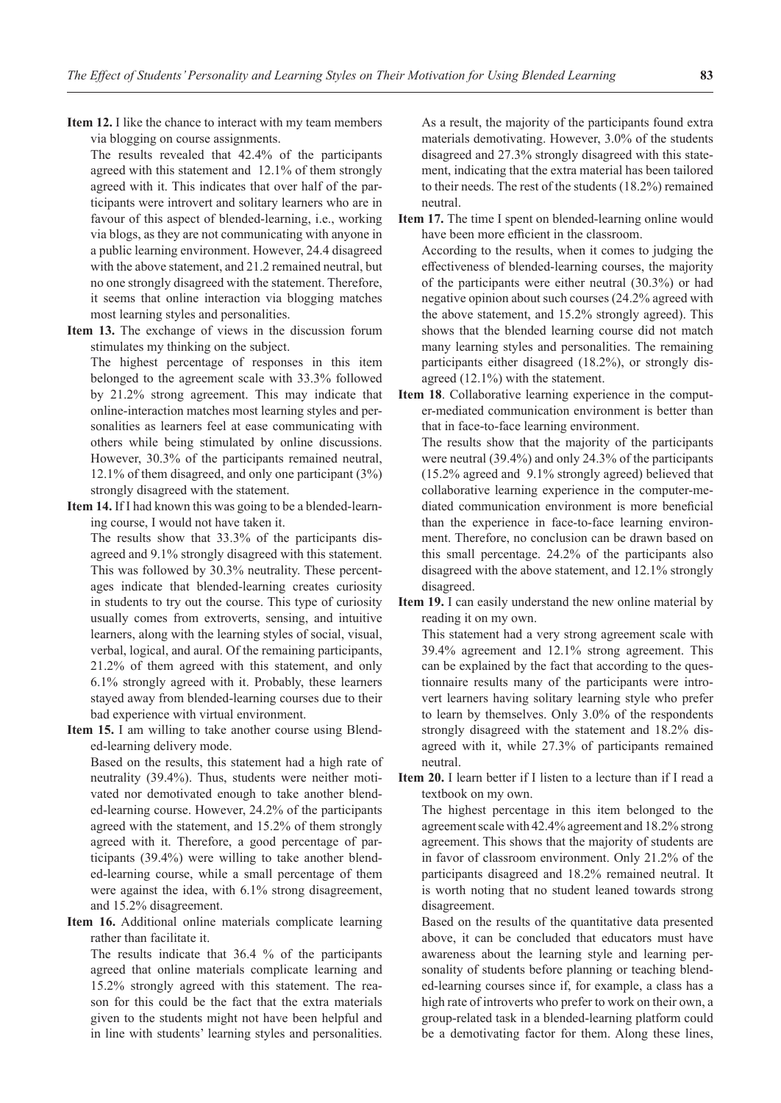**Item 12.** I like the chance to interact with my team members via blogging on course assignments.

The results revealed that 42.4% of the participants agreed with this statement and 12.1% of them strongly agreed with it. This indicates that over half of the participants were introvert and solitary learners who are in favour of this aspect of blended-learning, i.e., working via blogs, as they are not communicating with anyone in a public learning environment. However, 24.4 disagreed with the above statement, and 21.2 remained neutral, but no one strongly disagreed with the statement. Therefore, it seems that online interaction via blogging matches most learning styles and personalities.

**Item 13.** The exchange of views in the discussion forum stimulates my thinking on the subject.

The highest percentage of responses in this item belonged to the agreement scale with 33.3% followed by 21.2% strong agreement. This may indicate that online-interaction matches most learning styles and personalities as learners feel at ease communicating with others while being stimulated by online discussions. However, 30.3% of the participants remained neutral, 12.1% of them disagreed, and only one participant (3%) strongly disagreed with the statement.

**Item 14.** If I had known this was going to be a blended-learning course, I would not have taken it.

The results show that 33.3% of the participants disagreed and 9.1% strongly disagreed with this statement. This was followed by 30.3% neutrality. These percentages indicate that blended-learning creates curiosity in students to try out the course. This type of curiosity usually comes from extroverts, sensing, and intuitive learners, along with the learning styles of social, visual, verbal, logical, and aural. Of the remaining participants, 21.2% of them agreed with this statement, and only 6.1% strongly agreed with it. Probably, these learners stayed away from blended-learning courses due to their bad experience with virtual environment.

**Item 15.** I am willing to take another course using Blended-learning delivery mode.

Based on the results, this statement had a high rate of neutrality (39.4%). Thus, students were neither motivated nor demotivated enough to take another blended-learning course. However, 24.2% of the participants agreed with the statement, and 15.2% of them strongly agreed with it. Therefore, a good percentage of participants (39.4%) were willing to take another blended-learning course, while a small percentage of them were against the idea, with 6.1% strong disagreement, and 15.2% disagreement.

**Item 16.** Additional online materials complicate learning rather than facilitate it.

The results indicate that 36.4 % of the participants agreed that online materials complicate learning and 15.2% strongly agreed with this statement. The reason for this could be the fact that the extra materials given to the students might not have been helpful and in line with students' learning styles and personalities. As a result, the majority of the participants found extra materials demotivating. However, 3.0% of the students disagreed and 27.3% strongly disagreed with this statement, indicating that the extra material has been tailored to their needs. The rest of the students (18.2%) remained neutral.

**Item 17.** The time I spent on blended-learning online would have been more efficient in the classroom.

According to the results, when it comes to judging the effectiveness of blended-learning courses, the majority of the participants were either neutral (30.3%) or had negative opinion about such courses (24.2% agreed with the above statement, and 15.2% strongly agreed). This shows that the blended learning course did not match many learning styles and personalities. The remaining participants either disagreed (18.2%), or strongly disagreed (12.1%) with the statement.

**Item 18**. Collaborative learning experience in the computer-mediated communication environment is better than that in face-to-face learning environment.

The results show that the majority of the participants were neutral (39.4%) and only 24.3% of the participants (15.2% agreed and 9.1% strongly agreed) believed that collaborative learning experience in the computer-mediated communication environment is more beneficial than the experience in face-to-face learning environment. Therefore, no conclusion can be drawn based on this small percentage. 24.2% of the participants also disagreed with the above statement, and 12.1% strongly disagreed.

**Item 19.** I can easily understand the new online material by reading it on my own.

This statement had a very strong agreement scale with 39.4% agreement and 12.1% strong agreement. This can be explained by the fact that according to the questionnaire results many of the participants were introvert learners having solitary learning style who prefer to learn by themselves. Only 3.0% of the respondents strongly disagreed with the statement and 18.2% disagreed with it, while 27.3% of participants remained neutral.

**Item 20.** I learn better if I listen to a lecture than if I read a textbook on my own.

The highest percentage in this item belonged to the agreement scale with 42.4% agreement and 18.2% strong agreement. This shows that the majority of students are in favor of classroom environment. Only 21.2% of the participants disagreed and 18.2% remained neutral. It is worth noting that no student leaned towards strong disagreement.

Based on the results of the quantitative data presented above, it can be concluded that educators must have awareness about the learning style and learning personality of students before planning or teaching blended-learning courses since if, for example, a class has a high rate of introverts who prefer to work on their own, a group-related task in a blended-learning platform could be a demotivating factor for them. Along these lines,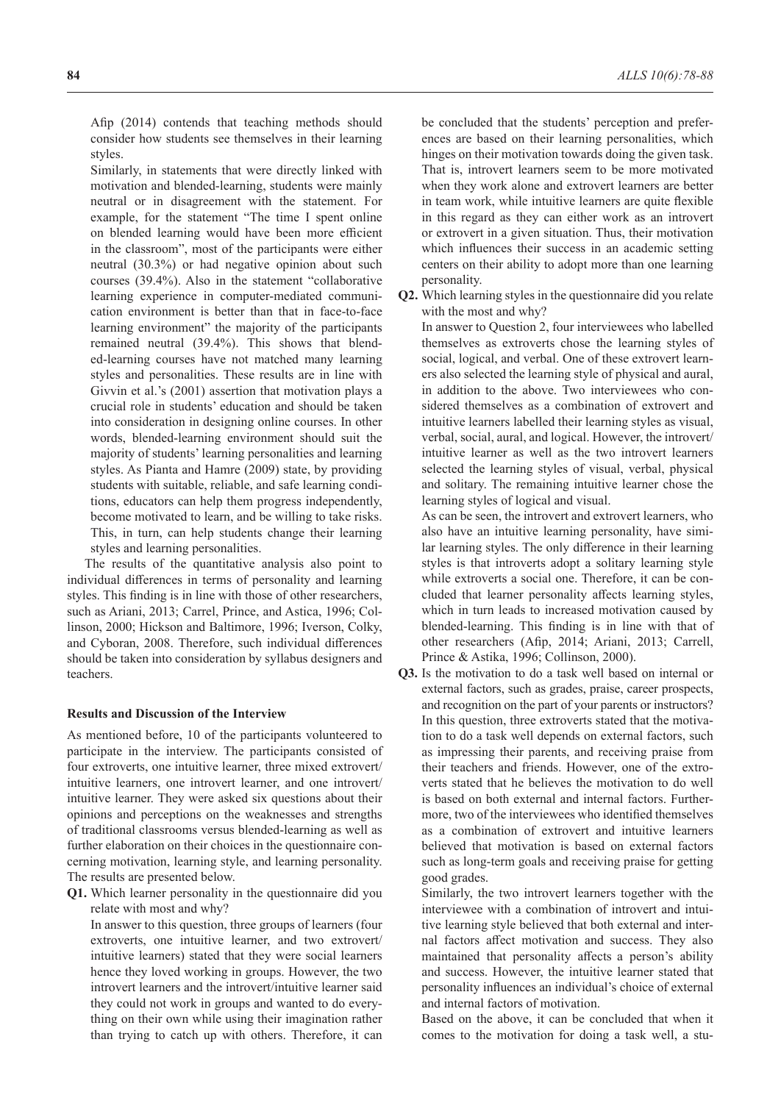Similarly, in statements that were directly linked with motivation and blended-learning, students were mainly neutral or in disagreement with the statement. For example, for the statement "The time I spent online on blended learning would have been more efficient in the classroom", most of the participants were either neutral (30.3%) or had negative opinion about such courses (39.4%). Also in the statement "collaborative learning experience in computer-mediated communication environment is better than that in face-to-face learning environment" the majority of the participants remained neutral (39.4%). This shows that blended-learning courses have not matched many learning styles and personalities. These results are in line with Givvin et al.'s (2001) assertion that motivation plays a crucial role in students' education and should be taken into consideration in designing online courses. In other words, blended-learning environment should suit the majority of students' learning personalities and learning styles. As Pianta and Hamre (2009) state, by providing students with suitable, reliable, and safe learning conditions, educators can help them progress independently, become motivated to learn, and be willing to take risks. This, in turn, can help students change their learning styles and learning personalities.

The results of the quantitative analysis also point to individual differences in terms of personality and learning styles. This finding is in line with those of other researchers, such as Ariani, 2013; Carrel, Prince, and Astica, 1996; Collinson, 2000; Hickson and Baltimore, 1996; Iverson, Colky, and Cyboran, 2008. Therefore, such individual differences should be taken into consideration by syllabus designers and teachers.

## **Results and Discussion of the Interview**

As mentioned before, 10 of the participants volunteered to participate in the interview. The participants consisted of four extroverts, one intuitive learner, three mixed extrovert/ intuitive learners, one introvert learner, and one introvert/ intuitive learner. They were asked six questions about their opinions and perceptions on the weaknesses and strengths of traditional classrooms versus blended-learning as well as further elaboration on their choices in the questionnaire concerning motivation, learning style, and learning personality. The results are presented below.

**Q1.** Which learner personality in the questionnaire did you relate with most and why?

In answer to this question, three groups of learners (four extroverts, one intuitive learner, and two extrovert/ intuitive learners) stated that they were social learners hence they loved working in groups. However, the two introvert learners and the introvert/intuitive learner said they could not work in groups and wanted to do everything on their own while using their imagination rather than trying to catch up with others. Therefore, it can be concluded that the students' perception and preferences are based on their learning personalities, which hinges on their motivation towards doing the given task. That is, introvert learners seem to be more motivated when they work alone and extrovert learners are better in team work, while intuitive learners are quite flexible in this regard as they can either work as an introvert or extrovert in a given situation. Thus, their motivation which influences their success in an academic setting centers on their ability to adopt more than one learning personality.

**Q2.** Which learning styles in the questionnaire did you relate with the most and why?

In answer to Question 2, four interviewees who labelled themselves as extroverts chose the learning styles of social, logical, and verbal. One of these extrovert learners also selected the learning style of physical and aural, in addition to the above. Two interviewees who considered themselves as a combination of extrovert and intuitive learners labelled their learning styles as visual, verbal, social, aural, and logical. However, the introvert/ intuitive learner as well as the two introvert learners selected the learning styles of visual, verbal, physical and solitary. The remaining intuitive learner chose the learning styles of logical and visual.

As can be seen, the introvert and extrovert learners, who also have an intuitive learning personality, have similar learning styles. The only difference in their learning styles is that introverts adopt a solitary learning style while extroverts a social one. Therefore, it can be concluded that learner personality affects learning styles, which in turn leads to increased motivation caused by blended-learning. This finding is in line with that of other researchers (Afip, 2014; Ariani, 2013; Carrell, Prince & Astika, 1996; Collinson, 2000).

**Q3.** Is the motivation to do a task well based on internal or external factors, such as grades, praise, career prospects, and recognition on the part of your parents or instructors? In this question, three extroverts stated that the motivation to do a task well depends on external factors, such as impressing their parents, and receiving praise from their teachers and friends. However, one of the extroverts stated that he believes the motivation to do well is based on both external and internal factors. Furthermore, two of the interviewees who identified themselves as a combination of extrovert and intuitive learners believed that motivation is based on external factors such as long-term goals and receiving praise for getting good grades.

Similarly, the two introvert learners together with the interviewee with a combination of introvert and intuitive learning style believed that both external and internal factors affect motivation and success. They also maintained that personality affects a person's ability and success. However, the intuitive learner stated that personality influences an individual's choice of external and internal factors of motivation.

Based on the above, it can be concluded that when it comes to the motivation for doing a task well, a stu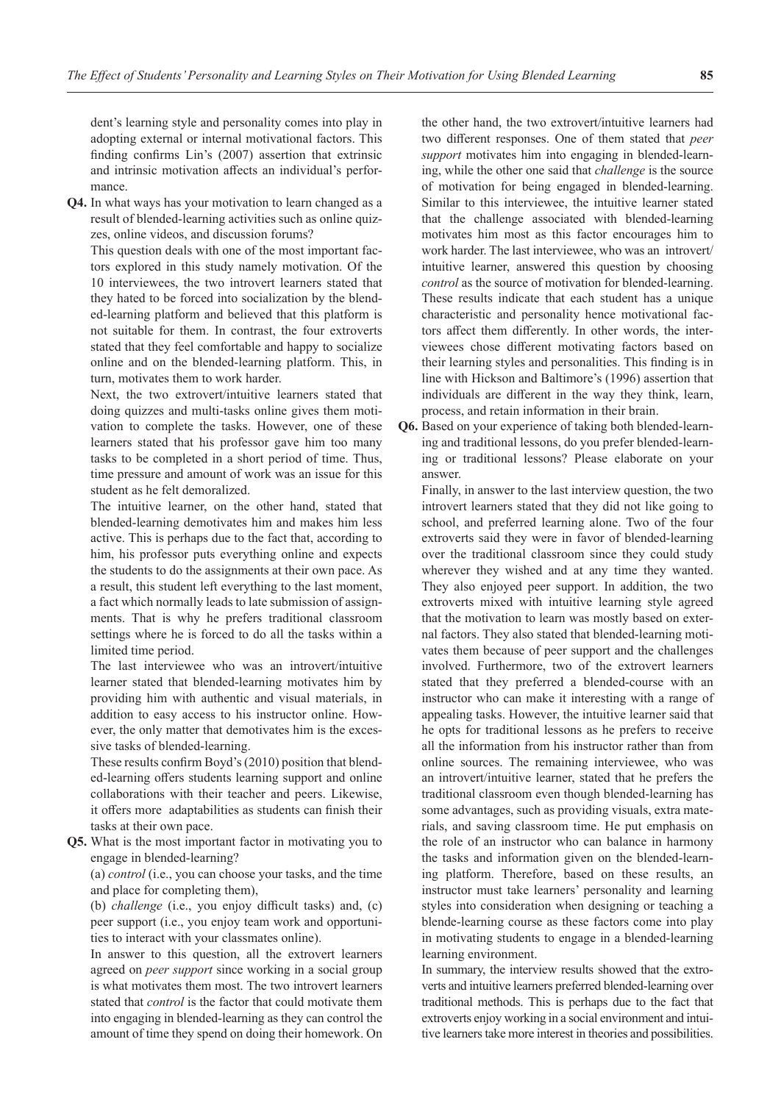dent's learning style and personality comes into play in adopting external or internal motivational factors. This finding confirms Lin's (2007) assertion that extrinsic and intrinsic motivation affects an individual's performance.

**Q4.** In what ways has your motivation to learn changed as a result of blended-learning activities such as online quizzes, online videos, and discussion forums?

This question deals with one of the most important factors explored in this study namely motivation. Of the 10 interviewees, the two introvert learners stated that they hated to be forced into socialization by the blended-learning platform and believed that this platform is not suitable for them. In contrast, the four extroverts stated that they feel comfortable and happy to socialize online and on the blended-learning platform. This, in turn, motivates them to work harder.

Next, the two extrovert/intuitive learners stated that doing quizzes and multi-tasks online gives them motivation to complete the tasks. However, one of these learners stated that his professor gave him too many tasks to be completed in a short period of time. Thus, time pressure and amount of work was an issue for this student as he felt demoralized.

The intuitive learner, on the other hand, stated that blended-learning demotivates him and makes him less active. This is perhaps due to the fact that, according to him, his professor puts everything online and expects the students to do the assignments at their own pace. As a result, this student left everything to the last moment, a fact which normally leads to late submission of assignments. That is why he prefers traditional classroom settings where he is forced to do all the tasks within a limited time period.

The last interviewee who was an introvert/intuitive learner stated that blended-learning motivates him by providing him with authentic and visual materials, in addition to easy access to his instructor online. However, the only matter that demotivates him is the excessive tasks of blended-learning.

These results confirm Boyd's (2010) position that blended-learning offers students learning support and online collaborations with their teacher and peers. Likewise, it offers more adaptabilities as students can finish their tasks at their own pace.

**Q5.** What is the most important factor in motivating you to engage in blended-learning?

(a) *control* (i.e., you can choose your tasks, and the time and place for completing them),

(b) *challenge* (i.e., you enjoy difficult tasks) and, (c) peer support (i.e., you enjoy team work and opportunities to interact with your classmates online).

In answer to this question, all the extrovert learners agreed on *peer support* since working in a social group is what motivates them most. The two introvert learners stated that *control* is the factor that could motivate them into engaging in blended-learning as they can control the amount of time they spend on doing their homework. On the other hand, the two extrovert/intuitive learners had two different responses. One of them stated that *peer support* motivates him into engaging in blended-learning, while the other one said that *challenge* is the source of motivation for being engaged in blended-learning. Similar to this interviewee, the intuitive learner stated that the challenge associated with blended-learning motivates him most as this factor encourages him to work harder. The last interviewee, who was an introvert/ intuitive learner, answered this question by choosing *control* as the source of motivation for blended-learning. These results indicate that each student has a unique characteristic and personality hence motivational factors affect them differently. In other words, the interviewees chose different motivating factors based on their learning styles and personalities. This finding is in line with Hickson and Baltimore's (1996) assertion that individuals are different in the way they think, learn, process, and retain information in their brain.

**Q6.** Based on your experience of taking both blended-learning and traditional lessons, do you prefer blended-learning or traditional lessons? Please elaborate on your answer.

Finally, in answer to the last interview question, the two introvert learners stated that they did not like going to school, and preferred learning alone. Two of the four extroverts said they were in favor of blended-learning over the traditional classroom since they could study wherever they wished and at any time they wanted. They also enjoyed peer support. In addition, the two extroverts mixed with intuitive learning style agreed that the motivation to learn was mostly based on external factors. They also stated that blended-learning motivates them because of peer support and the challenges involved. Furthermore, two of the extrovert learners stated that they preferred a blended-course with an instructor who can make it interesting with a range of appealing tasks. However, the intuitive learner said that he opts for traditional lessons as he prefers to receive all the information from his instructor rather than from online sources. The remaining interviewee, who was an introvert/intuitive learner, stated that he prefers the traditional classroom even though blended-learning has some advantages, such as providing visuals, extra materials, and saving classroom time. He put emphasis on the role of an instructor who can balance in harmony the tasks and information given on the blended-learning platform. Therefore, based on these results, an instructor must take learners' personality and learning styles into consideration when designing or teaching a blende-learning course as these factors come into play in motivating students to engage in a blended-learning learning environment.

In summary, the interview results showed that the extroverts and intuitive learners preferred blended-learning over traditional methods. This is perhaps due to the fact that extroverts enjoy working in a social environment and intuitive learners take more interest in theories and possibilities.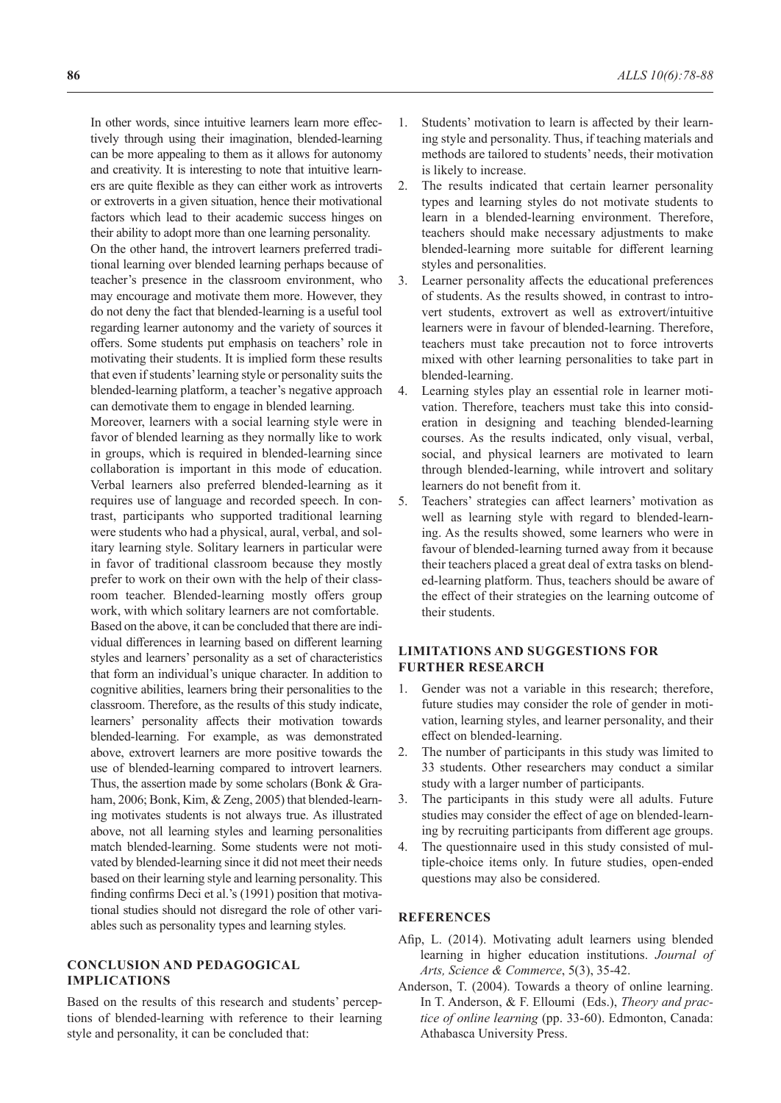In other words, since intuitive learners learn more effectively through using their imagination, blended-learning can be more appealing to them as it allows for autonomy and creativity. It is interesting to note that intuitive learners are quite flexible as they can either work as introverts or extroverts in a given situation, hence their motivational factors which lead to their academic success hinges on their ability to adopt more than one learning personality.

On the other hand, the introvert learners preferred traditional learning over blended learning perhaps because of teacher's presence in the classroom environment, who may encourage and motivate them more. However, they do not deny the fact that blended-learning is a useful tool regarding learner autonomy and the variety of sources it offers. Some students put emphasis on teachers' role in motivating their students. It is implied form these results that even if students' learning style or personality suits the blended-learning platform, a teacher's negative approach can demotivate them to engage in blended learning.

Moreover, learners with a social learning style were in favor of blended learning as they normally like to work in groups, which is required in blended-learning since collaboration is important in this mode of education. Verbal learners also preferred blended-learning as it requires use of language and recorded speech. In contrast, participants who supported traditional learning were students who had a physical, aural, verbal, and solitary learning style. Solitary learners in particular were in favor of traditional classroom because they mostly prefer to work on their own with the help of their classroom teacher. Blended-learning mostly offers group work, with which solitary learners are not comfortable. Based on the above, it can be concluded that there are individual differences in learning based on different learning styles and learners' personality as a set of characteristics that form an individual's unique character. In addition to cognitive abilities, learners bring their personalities to the classroom. Therefore, as the results of this study indicate, learners' personality affects their motivation towards blended-learning. For example, as was demonstrated above, extrovert learners are more positive towards the use of blended-learning compared to introvert learners. Thus, the assertion made by some scholars (Bonk & Graham, 2006; Bonk, Kim, & Zeng, 2005) that blended-learning motivates students is not always true. As illustrated above, not all learning styles and learning personalities match blended-learning. Some students were not motivated by blended-learning since it did not meet their needs based on their learning style and learning personality. This finding confirms Deci et al.'s (1991) position that motivational studies should not disregard the role of other variables such as personality types and learning styles.

# **CONCLUSION AND PEDAGOGICAL IMPLICATIONS**

Based on the results of this research and students' perceptions of blended-learning with reference to their learning style and personality, it can be concluded that:

- 1. Students' motivation to learn is affected by their learning style and personality. Thus, if teaching materials and methods are tailored to students' needs, their motivation is likely to increase.
- 2. The results indicated that certain learner personality types and learning styles do not motivate students to learn in a blended-learning environment. Therefore, teachers should make necessary adjustments to make blended-learning more suitable for different learning styles and personalities.
- 3. Learner personality affects the educational preferences of students. As the results showed, in contrast to introvert students, extrovert as well as extrovert/intuitive learners were in favour of blended-learning. Therefore, teachers must take precaution not to force introverts mixed with other learning personalities to take part in blended-learning.
- 4. Learning styles play an essential role in learner motivation. Therefore, teachers must take this into consideration in designing and teaching blended-learning courses. As the results indicated, only visual, verbal, social, and physical learners are motivated to learn through blended-learning, while introvert and solitary learners do not benefit from it.
- 5. Teachers' strategies can affect learners' motivation as well as learning style with regard to blended-learning. As the results showed, some learners who were in favour of blended-learning turned away from it because their teachers placed a great deal of extra tasks on blended-learning platform. Thus, teachers should be aware of the effect of their strategies on the learning outcome of their students.

# **LIMITATIONS AND SUGGESTIONS FOR FURTHER RESEARCH**

- 1. Gender was not a variable in this research; therefore, future studies may consider the role of gender in motivation, learning styles, and learner personality, and their effect on blended-learning.
- 2. The number of participants in this study was limited to 33 students. Other researchers may conduct a similar study with a larger number of participants.
- 3. The participants in this study were all adults. Future studies may consider the effect of age on blended-learning by recruiting participants from different age groups.
- 4. The questionnaire used in this study consisted of multiple-choice items only. In future studies, open-ended questions may also be considered.

# **REFERENCES**

- Afip, L. (2014). Motivating adult learners using blended learning in higher education institutions. *Journal of Arts, Science & Commerce*, 5(3), 35-42.
- Anderson, T. (2004). Towards a theory of online learning. In T. Anderson, & F. Elloumi (Eds.), *Theory and practice of online learning* (pp. 33-60). Edmonton, Canada: Athabasca University Press.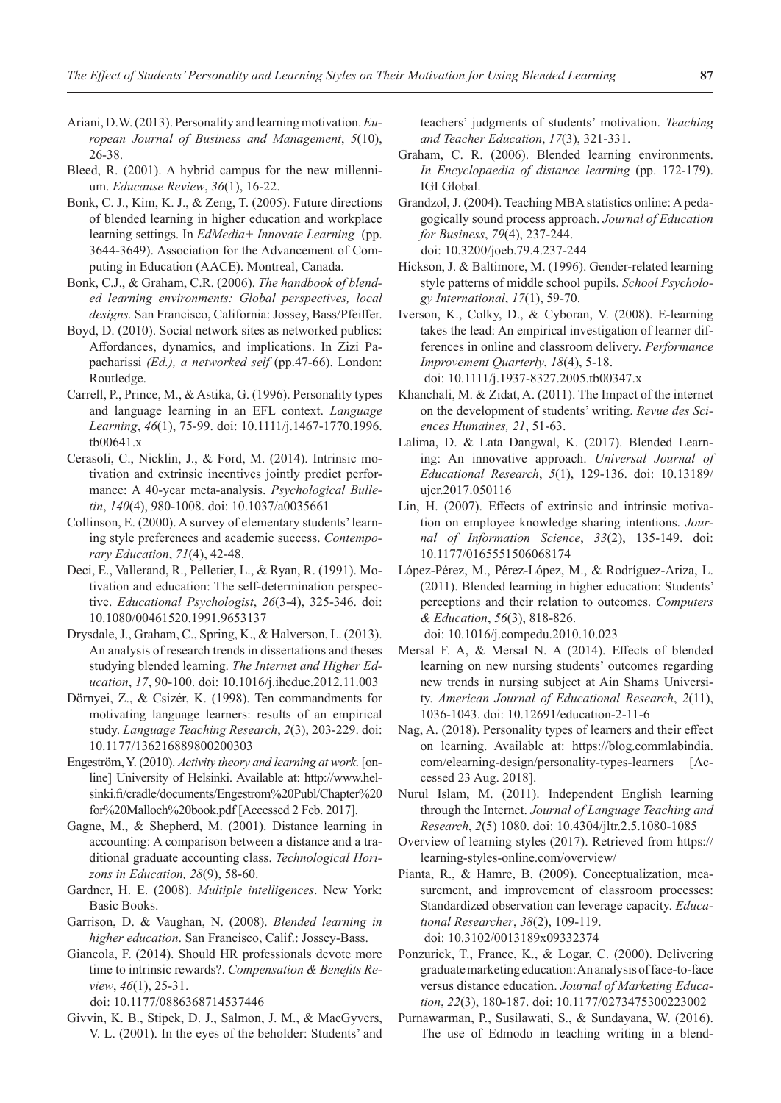- Ariani, D.W. (2013). Personality and learning motivation.*European Journal of Business and Management*, *5*(10), 26-38.
- Bleed, R. (2001). A hybrid campus for the new millennium. *Educause Review*, *36*(1), 16-22.
- Bonk, C. J., Kim, K. J., & Zeng, T. (2005). Future directions of blended learning in higher education and workplace learning settings. In *EdMedia+ Innovate Learning* (pp. 3644-3649). Association for the Advancement of Computing in Education (AACE). Montreal, Canada.
- Bonk, C.J., & Graham, C.R. (2006). *The handbook of blended learning environments: Global perspectives, local designs.* San Francisco, California: Jossey, Bass/Pfeiffer.
- Boyd, D. (2010). Social network sites as networked publics: Affordances, dynamics, and implications. In Zizi Papacharissi *(Ed.), a networked self* (pp.47-66). London: Routledge.
- Carrell, P., Prince, M., & Astika, G. (1996). Personality types and language learning in an EFL context. *Language Learning*, *46*(1), 75-99. doi: 10.1111/j.1467-1770.1996. tb00641.x
- Cerasoli, C., Nicklin, J., & Ford, M. (2014). Intrinsic motivation and extrinsic incentives jointly predict performance: A 40-year meta-analysis. *Psychological Bulletin*, *140*(4), 980-1008. doi: 10.1037/a0035661
- Collinson, E. (2000). A survey of elementary students' learning style preferences and academic success. *Contemporary Education*, *71*(4), 42-48.
- Deci, E., Vallerand, R., Pelletier, L., & Ryan, R. (1991). Motivation and education: The self-determination perspective. *Educational Psychologist*, *26*(3-4), 325-346. doi: 10.1080/00461520.1991.9653137
- Drysdale, J., Graham, C., Spring, K., & Halverson, L. (2013). An analysis of research trends in dissertations and theses studying blended learning. *The Internet and Higher Education*, *17*, 90-100. doi: 10.1016/j.iheduc.2012.11.003
- Dörnyei, Z., & Csizér, K. (1998). Ten commandments for motivating language learners: results of an empirical study. *Language Teaching Research*, *2*(3), 203-229. doi: 10.1177/136216889800200303
- Engestrӧm, Y. (2010). *Activity theory and learning at work*. [online] University of Helsinki. Available at: http://www.helsinki.fi/cradle/documents/Engestrom%20Publ/Chapter%20 for%20Malloch%20book.pdf [Accessed 2 Feb. 2017].
- Gagne, M., & Shepherd, M. (2001). Distance learning in accounting: A comparison between a distance and a traditional graduate accounting class. *Technological Horizons in Education, 28*(9), 58-60.
- Gardner, H. E. (2008). *Multiple intelligences*. New York: Basic Books.
- Garrison, D. & Vaughan, N. (2008). *Blended learning in higher education*. San Francisco, Calif.: Jossey-Bass.
- Giancola, F. (2014). Should HR professionals devote more time to intrinsic rewards?. *Compensation & Benefits Review*, *46*(1), 25-31.

doi: 10.1177/0886368714537446

Givvin, K. B., Stipek, D. J., Salmon, J. M., & MacGyvers, V. L. (2001). In the eyes of the beholder: Students' and teachers' judgments of students' motivation. *Teaching and Teacher Education*, *17*(3), 321-331.

- Graham, C. R. (2006). Blended learning environments. *In Encyclopaedia of distance learning* (pp. 172-179). IGI Global.
- Grandzol, J. (2004). Teaching MBA statistics online: A pedagogically sound process approach. *Journal of Education for Business*, *79*(4), 237-244. doi: 10.3200/joeb.79.4.237-244
- Hickson, J. & Baltimore, M. (1996). Gender-related learning style patterns of middle school pupils. *School Psychology International*, *17*(1), 59-70.
- Iverson, K., Colky, D., & Cyboran, V. (2008). E-learning takes the lead: An empirical investigation of learner differences in online and classroom delivery. *Performance Improvement Quarterly*, *18*(4), 5-18. doi: 10.1111/j.1937-8327.2005.tb00347.x
- Khanchali, M. & Zidat, A. (2011). The Impact of the internet on the development of students' writing. *Revue des Sci-*
- *ences Humaines, 21*, 51-63. Lalima, D. & Lata Dangwal, K. (2017). Blended Learning: An innovative approach. *Universal Journal of Educational Research*, *5*(1), 129-136. doi: 10.13189/ ujer.2017.050116
- Lin, H. (2007). Effects of extrinsic and intrinsic motivation on employee knowledge sharing intentions. *Journal of Information Science*, *33*(2), 135-149. doi: 10.1177/0165551506068174
- López-Pérez, M., Pérez-López, M., & Rodríguez-Ariza, L. (2011). Blended learning in higher education: Students' perceptions and their relation to outcomes. *Computers & Education*, *56*(3), 818-826.
- doi: 10.1016/j.compedu.2010.10.023 Mersal F. A, & Mersal N. A (2014). Effects of blended learning on new nursing students' outcomes regarding
- new trends in nursing subject at Ain Shams University. *American Journal of Educational Research*, *2*(11), 1036-1043. doi: 10.12691/education-2-11-6 Nag, A. (2018). Personality types of learners and their effect
- on learning. Available at: https://blog.commlabindia. com/elearning-design/personality-types-learners [Accessed 23 Aug. 2018].
- Nurul Islam, M. (2011). Independent English learning through the Internet. *Journal of Language Teaching and Research*, *2*(5) 1080. doi: 10.4304/jltr.2.5.1080-1085
- Overview of learning styles (2017). Retrieved from https:// learning-styles-online.com/overview/
- Pianta, R., & Hamre, B. (2009). Conceptualization, measurement, and improvement of classroom processes: Standardized observation can leverage capacity. *Educational Researcher*, *38*(2), 109-119. doi: 10.3102/0013189x09332374
- Ponzurick, T., France, K., & Logar, C. (2000). Delivering graduate marketing education: An analysis of face-to-face versus distance education. *Journal of Marketing Education*, *22*(3), 180-187. doi: 10.1177/0273475300223002
- Purnawarman, P., Susilawati, S., & Sundayana, W. (2016). The use of Edmodo in teaching writing in a blend-